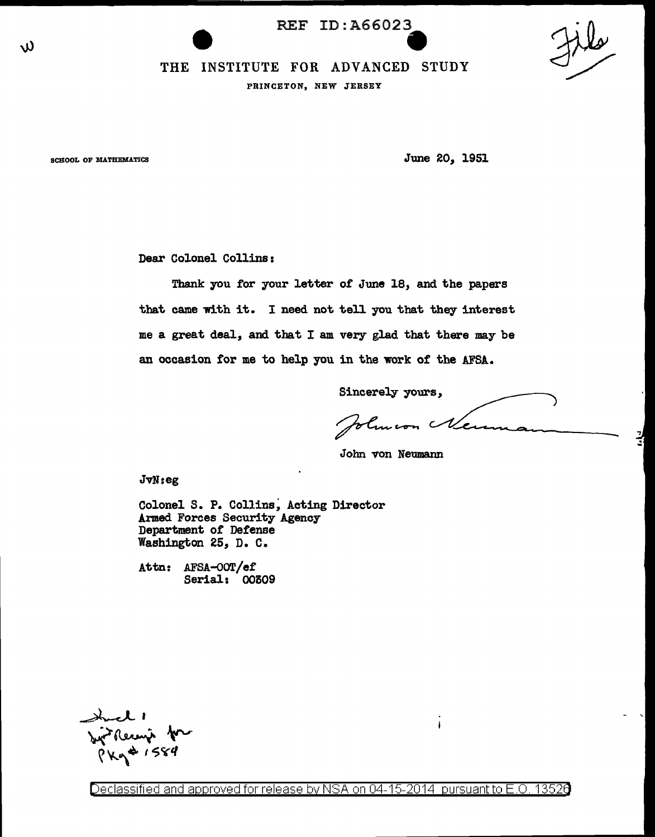REF ID:A66023 e<br>O



 $\frac{1}{2}$ .:

## THE INSTITUTE FOR ADVANCED STUDY

PRINCETON, NEW JERSEY

w

SCHOOL OF MATHEMATICS SCHOOL OF MATHEMATICS

Dear Colonel Collins:

Thank you for your letter of June 18, and the papers that came with it. I need not tell you that they interest me a great deal, and that I am very glad that there may be an occasion for me to help you in the work of the AFSA.

Sincerely yours,

Johnson Nemm

 $\mathbf{I}$ 

John von Neumann

JvN:eg

Colonel S. P. Collins, Acting Director Armed Forces Security Agency Department of Detense Washington 25, D. C.

Attn: AFSA-OOT/ef Serial: 00509

Syrikecup for

Declassified and approved for release by NSA on 04-15-2014 pursuant to E.O. 13526